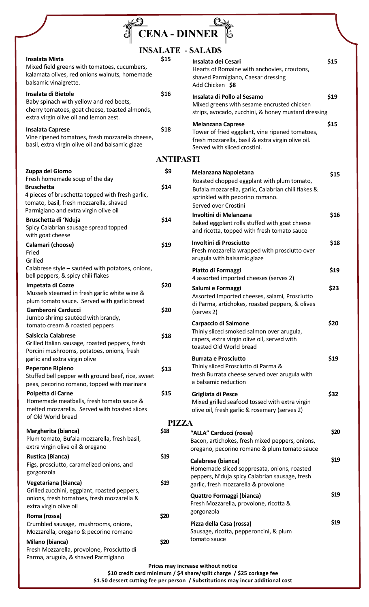| <b>CENA - DINNER</b>                                                                                                                                                                        |              |                                                                                                                                                                  |      |  |  |
|---------------------------------------------------------------------------------------------------------------------------------------------------------------------------------------------|--------------|------------------------------------------------------------------------------------------------------------------------------------------------------------------|------|--|--|
| <b>INSALATE - SALADS</b>                                                                                                                                                                    |              |                                                                                                                                                                  |      |  |  |
| <b>Insalata Mista</b><br>Mixed field greens with tomatoes, cucumbers,<br>kalamata olives, red onions walnuts, homemade<br>balsamic vinaigrette.                                             | \$15         | Insalata dei Cesari<br>Hearts of Romaine with anchovies, croutons,<br>shaved Parmigiano, Caesar dressing<br>Add Chicken \$8                                      | \$15 |  |  |
| Insalata di Bietole<br>Baby spinach with yellow and red beets,<br>cherry tomatoes, goat cheese, toasted almonds,<br>extra virgin olive oil and lemon zest.                                  | \$16         | Insalata di Pollo al Sesamo<br>Mixed greens with sesame encrusted chicken<br>strips, avocado, zucchini, & honey mustard dressing                                 | \$19 |  |  |
| <b>Insalata Caprese</b><br>Vine ripened tomatoes, fresh mozzarella cheese,<br>basil, extra virgin olive oil and balsamic glaze                                                              | \$18         | <b>Melanzana Caprese</b><br>Tower of fried eggplant, vine ripened tomatoes,<br>fresh mozzarella, basil & extra virgin olive oil.<br>Served with sliced crostini. | \$15 |  |  |
| <b>ANTIPASTI</b>                                                                                                                                                                            |              |                                                                                                                                                                  |      |  |  |
| Zuppa del Giorno                                                                                                                                                                            | \$9          | <b>Melanzana Napoletana</b>                                                                                                                                      |      |  |  |
| Fresh homemade soup of the day<br><b>Bruschetta</b><br>4 pieces of bruschetta topped with fresh garlic,<br>tomato, basil, fresh mozzarella, shaved<br>Parmigiano and extra virgin olive oil | \$14         | Roasted chopped eggplant with plum tomato,<br>Bufala mozzarella, garlic, Calabrian chili flakes &<br>sprinkled with pecorino romano.<br>Served over Crostini     | \$15 |  |  |
| Bruschetta di 'Nduja<br>Spicy Calabrian sausage spread topped<br>with goat cheese                                                                                                           | \$14         | Involtini di Melanzana<br>Baked eggplant rolls stuffed with goat cheese<br>and ricotta, topped with fresh tomato sauce                                           | \$16 |  |  |
| Calamari (choose)<br>Fried<br>Grilled                                                                                                                                                       | \$19         | Involtini di Prosciutto<br>Fresh mozzarella wrapped with prosciutto over<br>arugula with balsamic glaze                                                          | \$18 |  |  |
| Calabrese style - sautéed with potatoes, onions,<br>bell peppers, & spicy chili flakes                                                                                                      |              | Piatto di Formaggi<br>4 assorted imported cheeses (serves 2)                                                                                                     | \$19 |  |  |
| Impetata di Cozze<br>Mussels steamed in fresh garlic white wine &<br>plum tomato sauce. Served with garlic bread<br><b>Gamberoni Carducci</b>                                               | \$20<br>\$20 | Salumi e Formaggi<br>Assorted Imported cheeses, salami, Prosciutto<br>di Parma, artichokes, roasted peppers, & olives                                            | \$23 |  |  |
| Jumbo shrimp sautéed with brandy,<br>tomato cream & roasted peppers                                                                                                                         |              | (serves 2)<br>Carpaccio di Salmone                                                                                                                               | \$20 |  |  |
| <b>Salsiccia Calabrese</b><br>Grilled Italian sausage, roasted peppers, fresh<br>Porcini mushrooms, potatoes, onions, fresh                                                                 | \$18         | Thinly sliced smoked salmon over arugula,<br>capers, extra virgin olive oil, served with<br>toasted Old World bread                                              |      |  |  |
| garlic and extra virgin olive<br><b>Peperone Ripieno</b><br>Stuffed bell pepper with ground beef, rice, sweet<br>peas, pecorino romano, topped with marinara                                | \$13         | <b>Burrata e Prosciutto</b><br>Thinly sliced Prosciutto di Parma &<br>fresh Burrata cheese served over arugula with<br>a balsamic reduction                      | \$19 |  |  |
| Polpetta di Carne<br>Homemade meatballs, fresh tomato sauce &<br>melted mozzarella. Served with toasted slices<br>of Old World bread                                                        | \$15         | Grigliata di Pesce<br>Mixed grilled seafood tossed with extra virgin<br>olive oil, fresh garlic & rosemary (serves 2)                                            | \$32 |  |  |
| <b>PIZZA</b>                                                                                                                                                                                |              |                                                                                                                                                                  |      |  |  |
| Margherita (bianca)<br>Plum tomato, Bufala mozzarella, fresh basil,<br>extra virgin olive oil & oregano                                                                                     | \$18         | "ALLA" Carducci (rossa)<br>Bacon, artichokes, fresh mixed peppers, onions,<br>oregano, pecorino romano & plum tomato sauce                                       | \$20 |  |  |
| <b>Rustica (Bianca)</b><br>Figs, prosciutto, caramelized onions, and<br>gorgonzola                                                                                                          | \$19         | Calabrese (bianca)<br>Homemade sliced soppresata, onions, roasted<br>peppers, N'duja spicy Calabrian sausage, fresh                                              | \$19 |  |  |
| Vegetariana (bianca)<br>Grilled zucchini, eggplant, roasted peppers,<br>onions, fresh tomatoes, fresh mozzarella &<br>extra virgin olive oil                                                | \$19         | garlic, fresh mozzarella & provolone<br>Quattro Formaggi (bianca)<br>Fresh Mozzarella, provolone, ricotta &                                                      | \$19 |  |  |
| Roma (rossa)                                                                                                                                                                                | \$20         | gorgonzola                                                                                                                                                       |      |  |  |
| Crumbled sausage, mushrooms, onions,<br>Mozzarella, oregano & pecorino romano<br>Milano (bianca)<br>Fresh Mozzarella, provolone, Prosciutto di<br>Parma, arugula, & shaved Parmigiano       | \$20         | Pizza della Casa (rossa)<br>Sausage, ricotta, pepperoncini, & plum<br>tomato sauce                                                                               | \$19 |  |  |

**Prices may increase without notice \$10 credit card minimum / \$4 share/split charge / \$25 corkage fee \$1.50 dessert cutting fee per person / Substitutions may incur additional cost**